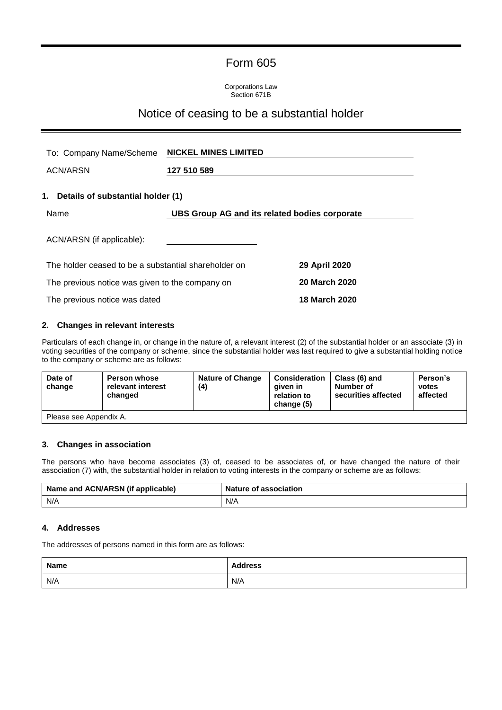# Form 605

Corporations Law Section 671B

## Notice of ceasing to be a substantial holder

| To: Company Name/Scheme                               | <b>NICKEL MINES LIMITED</b> |                      |  |
|-------------------------------------------------------|-----------------------------|----------------------|--|
| <b>ACN/ARSN</b>                                       | 127 510 589                 |                      |  |
| 1. Details of substantial holder (1)                  |                             |                      |  |
| Name<br>UBS Group AG and its related bodies corporate |                             |                      |  |
| ACN/ARSN (if applicable):                             |                             |                      |  |
| The holder ceased to be a substantial shareholder on  |                             | 29 April 2020        |  |
| The previous notice was given to the company on       |                             | 20 March 2020        |  |
| The previous notice was dated                         |                             | <b>18 March 2020</b> |  |

### **2. Changes in relevant interests**

Particulars of each change in, or change in the nature of, a relevant interest (2) of the substantial holder or an associate (3) in voting securities of the company or scheme, since the substantial holder was last required to give a substantial holding notice to the company or scheme are as follows:

| Date of<br>change      | <b>Person whose</b><br>relevant interest<br>changed | <b>Nature of Change</b><br>(4) | <b>Consideration</b><br>aiven in<br>relation to<br>change (5) | Class (6) and<br>Number of<br>securities affected | Person's<br>votes<br>affected |
|------------------------|-----------------------------------------------------|--------------------------------|---------------------------------------------------------------|---------------------------------------------------|-------------------------------|
| Please see Appendix A. |                                                     |                                |                                                               |                                                   |                               |

## **3. Changes in association**

The persons who have become associates (3) of, ceased to be associates of, or have changed the nature of their association (7) with, the substantial holder in relation to voting interests in the company or scheme are as follows:

| Name and ACN/ARSN (if applicable) | <b>Nature of association</b> |
|-----------------------------------|------------------------------|
| N/A                               | N/A                          |

#### **4. Addresses**

The addresses of persons named in this form are as follows:

| Name | <b>Address</b> |
|------|----------------|
| N/A  | N/A            |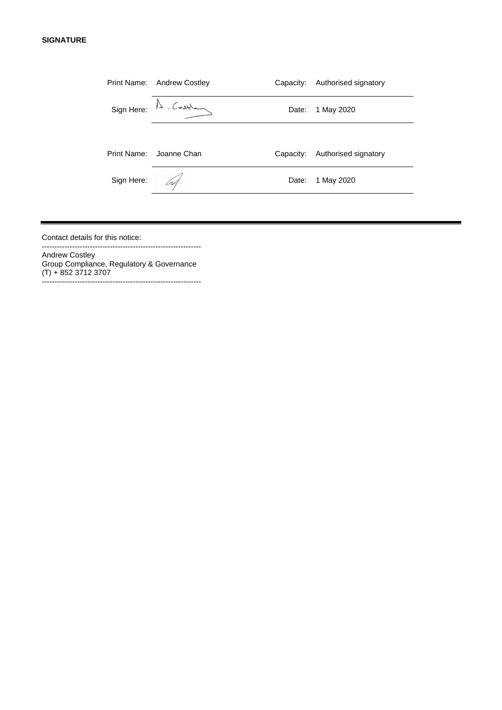#### **SIGNATURE**

|             | Print Name: Andrew Costley         | Capacity: | Authorised signatory |
|-------------|------------------------------------|-----------|----------------------|
|             | $Sign Here: \mathbb{A}$ . Costland | Date:     | 1 May 2020           |
|             |                                    |           |                      |
| Print Name: | Joanne Chan                        | Capacity: | Authorised signatory |
| Sign Here:  | U4.                                | Date:     | 1 May 2020           |
|             |                                    |           |                      |

Contact details for this notice: ---------------------------------------------------------------

Andrew Costley Group Compliance, Regulatory & Governance (T) + 852 3712 3707 ---------------------------------------------------------------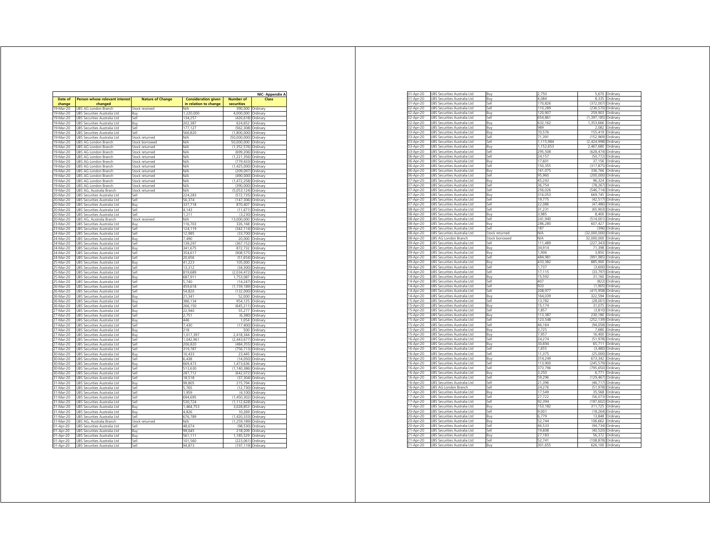|                        |                                                              |                         |                            |                       | <b>NIC- Appendix A</b> |
|------------------------|--------------------------------------------------------------|-------------------------|----------------------------|-----------------------|------------------------|
| Date of                | <b>Person whose relevant interest</b>                        | <b>Nature of Change</b> | <b>Consideration given</b> | <b>Number of</b>      | Class                  |
| change                 | changed                                                      |                         | in relation to change      | securities            |                        |
| 19-Mar-20              | UBS AG London Branch                                         | Stock received          | V/A                        | 390.000               | Ordinary               |
| 19-Mar-20              | UBS Securities Australia Ltd                                 | Buv                     | 1.220.000                  | 4.000.000             | Ordinary               |
| 19-Mar-20              | UBS Securities Australia Ltd                                 | Sell                    | 134.257                    | (426, 618)            | Ordinary               |
| 19-Mar-20              | <b>UBS Securities Australia Ltd</b>                          | Buv                     | 202.387                    | 624.652               | Ordinary               |
| 19-Mar-20              | UBS Securities Australia Ltd                                 | <b>Sell</b>             | 177.127                    | (562.308)             | Ordinan                |
| 19-Mar-20              | UBS Securities Australia Ltd                                 | Sell                    | 566.820                    | (1,800,000)           | Ordinary               |
| 19-Mar-20              | UBS Securities Australia Ltd                                 | Stock returned          | V/A                        | (50,000,000)          | Ordinary               |
| 19-Mar-20              | UBS AG London Branch                                         | Stock borrowed          | N/A                        | 50,000,000            | Ordinary               |
| 19-Mar-20              | UBS AG London Branch                                         | Stock returned          | N/A                        | (1.352.576)           | Ordinary               |
| 19-Mar-20              | UBS AG London Branch                                         | Stock returned          | VA                         | (699, 206)            | Ordinary               |
| 19-Mar-20              | UBS AG London Branch                                         | Stock returned          | V/A                        | (1, 221, 356)         | Ordinary               |
| 19-Mar-20              | UBS AG London Branch                                         | Stock returned          | V/A                        | (779, 433)            | Ordinary               |
| 19-Mar-20              | UBS AG London Branch                                         | Stock returned          | N/A                        | (1,425,000)           | Ordinary               |
| 19-Mar-20              | UBS AG London Branch                                         | Stock returned          | V/A                        | (209, 097)            | Ordinary               |
| 19-Mar-20              | UBS AG London Branch                                         | Stock returned          | N/A                        | (490,000)             | Ordinary               |
| 19-Mar-20              | UBS AG London Branch                                         | Stock returned          | N/A                        | (1,472,258)           | Ordinary               |
| 19-Mar-20              | UBS AG London Branch                                         | stock returned          | WA                         | (390,000)             | Ordinary               |
| 19-Mar-20              | UBS AG, Australia Branch                                     | Stock returned          | V/A                        | (5,053,124)           | Ordinary               |
| 20-Mar-20              | UBS Securities Australia Ltd                                 | <b>Sell</b>             | 224,283                    | (572,735) Ordinary    |                        |
| 20-Mar-20              | UBS Securities Australia Ltd                                 | Sell                    | 56.374                     | (147, 306)            | Ordinary               |
| 20-Mar-20              | UBS Securities Australia Ltd                                 | Buy                     | 337.718                    | 870,407               | Ordinary               |
| 20-Mar-20              | Securities Australia Ltd<br>UBS                              | Sell                    | 4,143                      | (11, 671)             | Ordinary               |
| 20-Mar-20              | UBS Securities Australia Ltd                                 | Sell                    | 1,211<br>N/A               | (3, 230)              | Ordinary               |
| 20-Mar-20<br>23-Mar-20 | UBS AG, Australia Branch                                     | Stock received          | 116,703                    | 13,000,000            | Ordinary               |
| 23-Mar-20              | UBS Securities Australia Ltd<br>UBS Securities Australia Ltd | Buy<br>lle?             | 124.119                    | 326,168<br>(342, 114) | Ordinary<br>Ordinan    |
| 24-Mar-20              | <b>UBS Securities Australia Ltd</b>                          | Sell                    | 12 985                     | (33.700)              | Ordinary               |
| 24-Mar-20              | UBS Securities Australia Ltd                                 | Buy                     | 7.490                      | 20,000                | Ordinary               |
| 24-Mar-20              | UBS Securities Australia Ltd                                 | Sell                    | 139,297                    | (367, 152)            | Ordinary               |
| 24-Mar-20              | UBS Securities Australia Ltd                                 | Buy                     | 341,675                    | 872,732               | Ordinary               |
| 24-Mar-20              | UBS Securities Australia Ltd                                 | sell                    | 354.617                    | (908, 575)            | Ordinary               |
| 24-Mar-20              | UBS Securities Australia Ltd                                 | Sell                    | 20.656                     | (51, 654)             | Ordinary               |
| 25-Mar-20              | UBS Securities Australia Ltd                                 | Buv                     | 41,223                     | 105,000               | Ordinary               |
| 25-Mar-20              | UBS Securities Australia Ltd                                 | <b>Sell</b>             | 13,312                     | (34, 300)             | Ordinary               |
| 25-Mar-20              | UBS Securities Australia Ltd                                 | Sell                    | 819,689                    | (2,034,472)           | Ordinary               |
| 25-Mar-20              | UBS Securities Australia Ltd                                 | Buy                     | 687,911                    | 1,753,087             | Ordinary               |
| 25-Mar-20              | UBS Securities Australia Ltd                                 | Sell                    | 5,740                      |                       | (14,247) Ordinary      |
| 26-Mar-20              | UBS Securities Australia Ltd                                 | Sell                    | 459.618                    | (1, 159, 189)         | Ordinary               |
| 26-Mar-20              | UBS Securities Australia Ltd                                 | Sell                    | 54,820                     | (132,000) Ordinary    |                        |
| 26-Mar-20              | UBS Securities Australia Ltd                                 | Buy                     | 21,341                     |                       | 52,000 Ordinary        |
| 26-Mar-20              | UBS Securities Australia Ltd                                 | Buy                     | 386,134                    | 954,125               | Ordinary               |
| 26-Mar-20              | UBS Securities Australia Ltd                                 | <b>I</b> le2            | 266,150                    | (645,211) Ordinary    |                        |
| 27-Mar-20              | UBS Securities Australia Ltd                                 | Buy                     | 22,940                     |                       | 55,277 Ordinary        |
| 27-Mar-20              | UBS Securities Australia Ltd                                 | Sell                    | 2,751                      |                       | (6,380) Ordinary       |
| 27-Mar-20              | UBS Securities Australia Ltd                                 | Buy                     | 446                        |                       | 1,054 Ordinary         |
| 27-Mar-20              | UBS Securities Australia Ltd                                 | Sell                    | 7,430                      |                       | (17,400) Ordinary      |
| 27-Mar-20              | UBS Securities Australia Ltd                                 | Buy                     | 218                        |                       | 500 Ordinary           |
| 27-Mar-20              | UBS Securities Australia Ltd                                 | Buy                     | 1,017,397                  | 2,418,344 Ordinary    |                        |
| 27-Mar-20              | UBS Securities Australia Ltd                                 | Sell                    | 1,042,961                  | (2,443,677) Ordinary  |                        |
| 27-Mar-20              | UBS Securities Australia Ltd                                 | Sell                    | 206,820                    | (484,355) Ordinary    |                        |
| 27-Mar-20              | UBS Securities Australia Ltd                                 | Sell                    | 319,787                    | (756,713) Ordinary    |                        |
| 30-Mar-20              | UBS Securities Australia Ltd                                 | Buy                     | 10,433                     |                       | 23,445 Ordinary        |
| 30-Mar-20              | UBS Securities Australia Ltd                                 | Sell                    | 6,438                      |                       | (14,050) Ordinary      |
| 30-Mar-20              | UBS Securities Australia Ltd                                 | Buy                     | 669,473                    | 1,473,636 Ordinary    |                        |
| 30-Mar-20              | UBS Securities Australia Ltd                                 | <b>Sell</b>             | 513,630                    | (1,140,386) Ordinary  |                        |
| 30-Mar-20              | UBS Securities Australia Ltd                                 | Sell                    | 287.712                    | (642.072)             | Ordinary               |
| 31-Mar-20              | UBS Securities Australia Ltd                                 | Sell                    | 18,518                     | (37, 304)             | Ordinary               |
| 31-Mar-20              | UBS Securities Australia Ltd                                 | Buy                     | 99,805                     | 215,794               | Ordinary               |
| 31-Mar-20              | UBS Securities Australia Ltd                                 | Sell                    | 5,765                      | (12, 730)             | Ordinary               |
| 31-Mar-20              | UBS Securities Australia Ltd                                 | Sell                    | 1.959                      | (4, 100)              | Ordinary               |
| 31-Mar-20              | UBS Securities Australia Ltd                                 | Sell                    | 694.695                    | (1,450,302)           | Ordinary               |
| 31-Mar-20              | UBS Securities Australia Ltd                                 | Sell                    | 530.724                    | (1, 112, 628)         | Ordinary               |
| 31-Mar-20              | UBS Securities Australia Ltd                                 | Buv                     | 1.464.753                  | 3,028,853             | Ordinary               |
| 31-Mar-20              | UBS Securities Australia Ltd                                 | Buy                     | 4,826                      | 10,269                | Ordinary               |
| 31-Mar-20              | UBS Securities Australia Ltd                                 | Sell                    | 676,789                    | (1,420,333)           | Ordinary               |
| 31-Mar-20              | UBS AG, Australia Branch                                     | Stock returned          | N/A                        | (1,259,189) Ordinary  |                        |
| 01-Apr-20              | UBS Securities Australia Ltd                                 | <b>Sell</b>             | 48,674                     |                       | (98,530) Ordinary      |
| 01-Apr-20              | UBS Securities Australia Ltd                                 | Buy                     | 99,045                     | 218,209               | Ordinary               |
| 01-Apr-20              | UBS Securities Australia Ltd                                 | Buy                     | 561,111                    | 1,185,529 Ordinary    |                        |
| 01-Apr-20              | UBS Securities Australia Ltd                                 | Sell                    | 101,560                    | (223,061) Ordinary    |                        |
| 01-Apr-20              | UBS Securities Australia Ltd                                 | <b>Sell</b>             | 94,873                     | (197,119) Ordinary    |                        |

| 01-Apr-20 | UBS Securities Australia Ltd        | Buy            | 2.750     |                    | 5,670 Ordinary    |
|-----------|-------------------------------------|----------------|-----------|--------------------|-------------------|
| 01-Apr-20 | UBS Securities Australia Ltd        | Buy            | 4.084     | 8,335              | Ordinary          |
| 01-Apr-20 | UBS Securities Australia Ltd        | S۵ll           | 170,826   | (372.007)          | Ordinary          |
| 02-Apr-20 | UBS Securities Australia Ltd        | Sell           | 110.289   | (236.570)          | Ordinary          |
| 02-Apr-20 | UBS Securities Australia Ltd        | Buy            | 120.907   | 259 903            | Ordinan           |
| 02-Apr-20 | UBS Securities Australia Ltd        | Sell           | 654.861   | (1, 397, 185)      | Ordinary          |
| 02-Apr-20 | UBS Securities Australia Ltd        | Buy            | 632.162   | 1,353,666          | Ordinary          |
| 02-Apr-20 | UBS Securities Australia Ltd        | Buy            | 989       | 2,082              | Ordinary          |
| 03-Apr-20 | UBS Securities Australia Ltd        | Buy            | 70.576    | 155.419            | Ordinan           |
| 03-Apr-20 | UBS Securities Australia Ltd        | sell           | 71,391    | (152,969)          | Ordinan           |
| 03-Apr-20 | UBS Securities Australia Ltd        | sell           | 1,115,984 | (2,424,998)        | Ordinan           |
| 03-Apr-20 | UBS Securities Australia Ltd        | Buy            | 1,152,653 | 2,467,680          | Ordinary          |
| 03-Apr-20 | UBS Securities Australia Ltd        | أأهد           | 295,508   | (628, 474)         | Ordinary          |
| 06-Apr-20 | UBS Securities Australia Ltd        | أأهد           | 24,157    | (50, 772)          | Ordinary          |
| 06-Apr-20 | UBS Securities Australia Ltd        | Buy            | 17,601    | 37,156             | Ordinary          |
| 06-Apr-20 | UBS Securities Australia Ltd        | Sell           | 150,355   | (317, 875)         | Ordinary          |
| 06-Apr-20 | UBS Securities Australia Ltd        | Buy            | 161,075   | 336,766            | Ordinary          |
|           |                                     | Sell           | 95,960    |                    |                   |
| 06-Apr-20 | UBS Securities Australia Ltd        |                |           | (200,000)          | Ordinary          |
| 07-Apr-20 | UBS Securities Australia Ltd        | Buy            | 45,243    | 96,324             | Ordinary          |
| 07-Apr-20 | UBS Securities Australia Ltd        | Sell<br>اامك   | 36,754    | (78, 267)          | Ordinary          |
| 07-Apr-20 | UBS Securities Australia Ltd        |                | 256,026   | (546, 714)         | Ordinary          |
| 07-Apr-20 | UBS Securities Australia Ltd        | Buy            | 316,053   | 669,745            | Ordinary          |
| 07-Apr-20 | UBS Securities Australia Ltd        | Sell           | 19,775    |                    | (42,517) Ordinary |
| 07-Apr-20 | UBS Securities Australia Ltd        | Sell           | 22,086    | (47, 486)          | Ordinary          |
| 08-Apr-20 | UBS Securities Australia Ltd        | اامكا          | 31,231    | (65.903)           | Ordinary          |
| 08-Apr-20 | UBS Securities Australia Ltd        | Buy            | 3.985     | 8400               | Ordinary          |
| 08-Apr-20 | UBS Securities Australia Ltd        | اامكا          | 241,940   | (514,001)          | Ordinary          |
| 08-Apr-20 | UBS Securities Australia Ltd        | Buv            | 286.280   | 607.427            | Ordinary          |
| 08-Apr-20 | UBS Securities Australia Ltd        | اامك           | 187       | (396)              | Ordinary          |
| 08-Apr-20 | UBS Securities Australia Ltd        | Stock returned | N/A       | (32,000,000)       | Ordinary          |
| 08-Apr-20 | UBS AG London Branch                | Stock borrowed | N/A       | 32,000,000         | Ordinary          |
| 09-Apr-20 | UBS Securities Australia Ltd        | اامكا          | 111,489   | (227.343)          | Ordinary          |
| 09-Apr-20 | UBS Securities Australia Ltd        | Buy            | 34.914    | 71.398             | Ordinary          |
| 09-Apr-20 | UBS Securities Australia Ltd        | Buy            | 1906      | 3,850              | Ordinary          |
| 09-Apr-20 | UBS Securities Australia Ltd        | S۵ll           | 484 981   | (991 985)          | Ordinary          |
| 09-Apr-20 | UBS Securities Australia Ltd        | Buy            | 433.382   | 885.900            | Ordinary          |
| 09-Apr-20 | UBS Securities Australia Ltd        | Sell           | 1.737     | (3,600)            | Ordinary          |
| 14-Apr-20 | UBS Securities Australia Ltd        | sell           | 17.115    | (33.797)           | Ordinan           |
| 14-Apr-20 | UBS Securities Australia Ltd        | Buv            | 15.592    | 31.160             | Ordinan           |
| 14-Apr-20 | UBS Securities Australia Ltd        | sell           | 407       | (822)              | Ordinary          |
| 14-Apr-20 | UBS Securities Australia Ltd        | أأها           | 933       | (1 905)            | Ordinary          |
| 14-Apr-20 | UBS Securities Australia Ltd        | أأهد           | 208,977   | (415.958)          | Ordinary          |
| 14-Apr-20 | UBS Securities Australia Ltd        | Buy            | 164,039   | 322,594            | Ordinary          |
| 15-Apr-20 | UBS Securities Australia Ltd        | Sell           | 13,782    | (28,001)           | Ordinary          |
|           | UBS Securities Australia Ltd        |                |           |                    | Ordinary          |
| 15-Apr-20 |                                     | Buy            | 15,174    | 31,075             |                   |
| 15-Apr-20 | UBS Securities Australia Ltd        | Sell           | 1,857     | (3,810)            | Ordinary          |
| 15-Apr-20 | UBS Securities Australia Ltd        | Buy            | 113,387   | 230,180            | Ordinary          |
| 15-Apr-20 | UBS Securities Australia Ltd        | Sell           | 123,548   | (252, 139)         | Ordinary          |
| 15-Apr-20 | UBS Securities Australia Ltd        | اامكا          | 46,164    | (94, 058)          | Ordinary          |
| 15-Apr-20 | UBS Securities Australia Ltd        | Buy            | 3,725     | 7,680              | Ordinary          |
| 15-Apr-20 | UBS Securities Australia Ltd        | Buy            | 7,957     | 16,400             | Ordinary          |
| 16-Apr-20 | UBS Securities Australia Ltd        | Sell           | 24,274    | (51, 978)          | Ordinary          |
| 16-Apr-20 | UBS Securities Australia Ltd        | Buy            | 30,694    | 65,711             | Ordinary          |
| 16-Apr-20 | UBS Securities Australia Ltd        | llم؟           | 1,655     | (3,480)            | Ordinary          |
| 16-Apr-20 | UBS Securities Australia Ltd        | lle            | 11.375    | (25,000)           | Ordinary          |
| 16-Apr-20 | UBS Securities Australia Ltd        | Buy            | 314,249   | 673,342            | Ordinary          |
| 16-Apr-20 | UBS Securities Australia Ltd        | Sell           | 113,900   | (245.579)          | Ordinan           |
| 16-Apr-20 | UBS Securities Australia Ltd        | Sell           | 373.796   | (795.650)          | Ordinan           |
| 16-Apr-20 | UBS Securities Australia Ltd        | Buy            | 3.250     | 6,771              | Ordinary          |
| 16-Apr-20 | UBS Securities Australia Ltd        | Sell           | 59.296    | (129, 467)         | Ordinary          |
| 16-Apr-20 | UBS Securities Australia Ltd        | اامك           | 21,396    | (46, 717)          | Ordinary          |
| 16-Apr-20 | UBS AG London Branch                | S۵ll           | 24.276    | (51, 978)          | Ordinary          |
| 17-Apr-20 | UBS Securities Australia Ltd        | Buy            | 17549     | 35,568             | Ordinary          |
| 17-Apr-20 | UBS Securities Australia Ltd        | اامک           | 27.722    | (56, 073)          | Ordinary          |
| 17-Apr-20 | UBS Securities Australia Ltd        | Sell           | 92.394    | (187, 602)         | Ordinary          |
| 17-Apr-20 | UBS Securities Australia Ltd        | Buy            | 153,182   | 311,725            | Ordinary          |
| 20-Apr-20 | UBS Securities Australia Ltd        | sell           | 9.001     | (18.264)           | Ordinan           |
| 20-Apr-20 | UBS Securities Australia Ltd        | Buy            | 6.779     | 13.848             | Ordinary          |
| 20-Apr-20 | UBS Securities Australia Ltd        | Buy            | 52,744    | 106,662            | Ordinary          |
| 20-Apr-20 | UBS Securities Australia Ltd        | اامة           | 46.533    | (94.734)           | Ordinary          |
|           |                                     | أأهد           |           |                    |                   |
| 21-Apr-20 | UBS Securities Australia Ltd        |                | 19,608    | (40, 520)          | Ordinary          |
| 21-Apr-20 | UBS Securities Australia Ltd        | Buy            | 27,183    | 56,372             | Ordinary          |
| 21-Apr-20 | UBS Securities Australia Ltd        | Sell           | 52,741    | (108,878) Ordinary |                   |
| 21-Apr-20 | <b>UBS Securities Australia Ltd</b> | Buy            | 301,655   |                    | 626,100 Ordinary  |